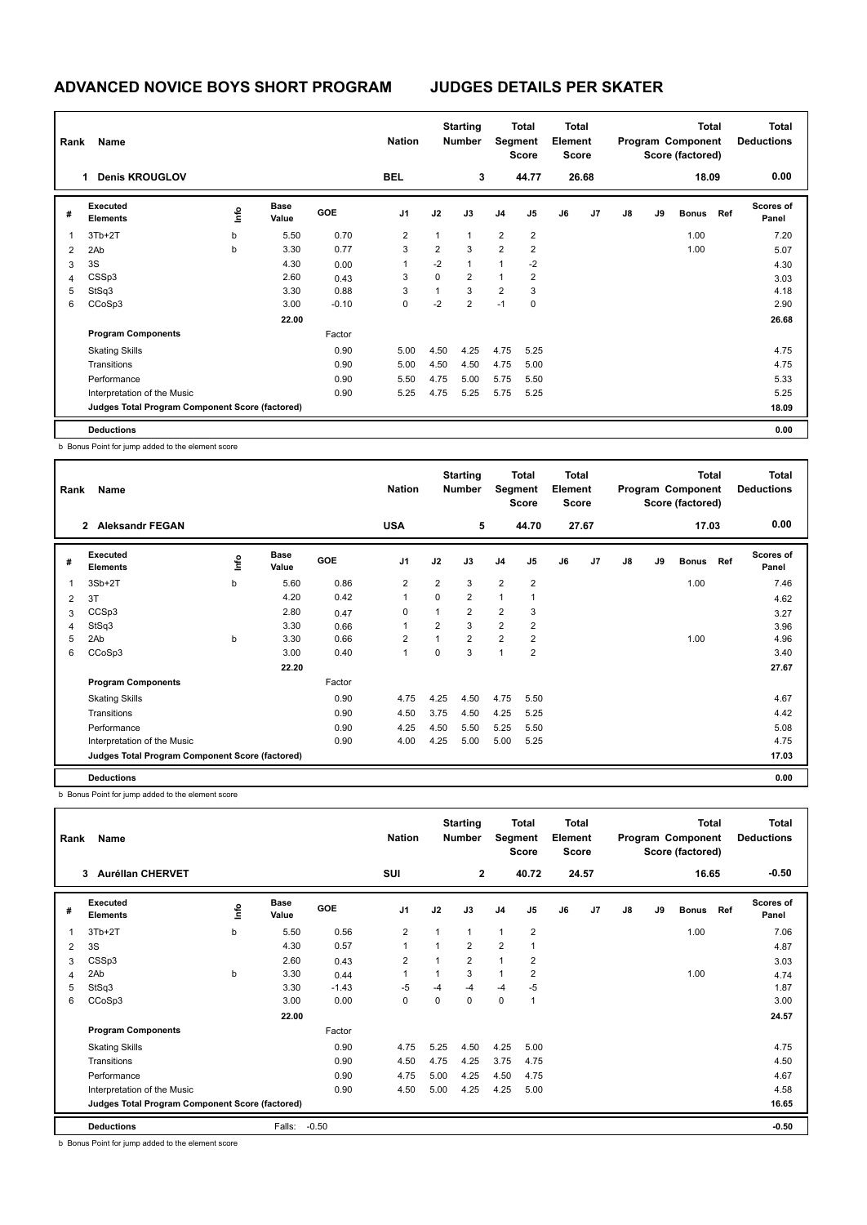# **ADVANCED NOVICE BOYS SHORT PROGRAM JUDGES DETAILS PER SKATER**

| Rank | Name                                            |      |                      |            | <b>Nation</b>  | <b>Starting</b><br><b>Number</b> |                |                |                | <b>Total</b><br>Element<br>Segment<br><b>Score</b> |       | <b>Total</b><br>Program Component<br>Score (factored) |    |              |     | <b>Total</b><br><b>Deductions</b> |
|------|-------------------------------------------------|------|----------------------|------------|----------------|----------------------------------|----------------|----------------|----------------|----------------------------------------------------|-------|-------------------------------------------------------|----|--------------|-----|-----------------------------------|
|      | <b>Denis KROUGLOV</b><br>1                      |      |                      |            | <b>BEL</b>     |                                  | 3              |                | 44.77          |                                                    | 26.68 |                                                       |    | 18.09        |     | 0.00                              |
| #    | Executed<br><b>Elements</b>                     | ١mfo | <b>Base</b><br>Value | <b>GOE</b> | J <sub>1</sub> | J2                               | J3             | J <sub>4</sub> | J5             | J6                                                 | J7    | J8                                                    | J9 | <b>Bonus</b> | Ref | Scores of<br>Panel                |
| 1    | $3Tb+2T$                                        | b    | 5.50                 | 0.70       | $\overline{2}$ | $\mathbf{1}$                     | $\mathbf{1}$   | $\overline{2}$ | $\overline{2}$ |                                                    |       |                                                       |    | 1.00         |     | 7.20                              |
| 2    | 2Ab                                             | b    | 3.30                 | 0.77       | 3              | $\overline{2}$                   | 3              | $\overline{2}$ | $\overline{2}$ |                                                    |       |                                                       |    | 1.00         |     | 5.07                              |
| 3    | 3S                                              |      | 4.30                 | 0.00       | 1              | $-2$                             | 1              | $\mathbf{1}$   | $-2$           |                                                    |       |                                                       |    |              |     | 4.30                              |
| 4    | CSSp3                                           |      | 2.60                 | 0.43       | 3              | 0                                | $\overline{2}$ | $\mathbf{1}$   | $\overline{2}$ |                                                    |       |                                                       |    |              |     | 3.03                              |
| 5    | StSq3                                           |      | 3.30                 | 0.88       | 3              | $\mathbf{1}$                     | 3              | $\overline{2}$ | 3              |                                                    |       |                                                       |    |              |     | 4.18                              |
| 6    | CCoSp3                                          |      | 3.00                 | $-0.10$    | 0              | $-2$                             | $\overline{2}$ | $-1$           | 0              |                                                    |       |                                                       |    |              |     | 2.90                              |
|      |                                                 |      | 22.00                |            |                |                                  |                |                |                |                                                    |       |                                                       |    |              |     | 26.68                             |
|      | <b>Program Components</b>                       |      |                      | Factor     |                |                                  |                |                |                |                                                    |       |                                                       |    |              |     |                                   |
|      | <b>Skating Skills</b>                           |      |                      | 0.90       | 5.00           | 4.50                             | 4.25           | 4.75           | 5.25           |                                                    |       |                                                       |    |              |     | 4.75                              |
|      | Transitions                                     |      |                      | 0.90       | 5.00           | 4.50                             | 4.50           | 4.75           | 5.00           |                                                    |       |                                                       |    |              |     | 4.75                              |
|      | Performance                                     |      |                      | 0.90       | 5.50           | 4.75                             | 5.00           | 5.75           | 5.50           |                                                    |       |                                                       |    |              |     | 5.33                              |
|      | Interpretation of the Music                     |      |                      | 0.90       | 5.25           | 4.75                             | 5.25           | 5.75           | 5.25           |                                                    |       |                                                       |    |              |     | 5.25                              |
|      | Judges Total Program Component Score (factored) |      |                      |            |                |                                  |                |                |                |                                                    |       |                                                       |    |              |     | 18.09                             |
|      | <b>Deductions</b>                               |      |                      |            |                |                                  |                |                |                |                                                    |       |                                                       |    |              |     | 0.00                              |

b Bonus Point for jump added to the element score

| Rank | Name                                            |             |                      |            | <b>Nation</b>  | <b>Starting</b><br><b>Number</b> |                |                |                | Total<br>Segment<br>Element<br><b>Score</b> |                | <b>Total</b><br>Program Component<br>Score (factored) |    |              |     | <b>Total</b><br><b>Deductions</b> |
|------|-------------------------------------------------|-------------|----------------------|------------|----------------|----------------------------------|----------------|----------------|----------------|---------------------------------------------|----------------|-------------------------------------------------------|----|--------------|-----|-----------------------------------|
|      | <b>Aleksandr FEGAN</b><br>$\mathbf{2}$          |             |                      |            | <b>USA</b>     |                                  | 5              |                | 44.70          |                                             | 27.67          |                                                       |    | 17.03        |     | 0.00                              |
| #    | Executed<br><b>Elements</b>                     | <u>lnfo</u> | <b>Base</b><br>Value | <b>GOE</b> | J <sub>1</sub> | J2                               | J3             | J <sub>4</sub> | J5             | J6                                          | J <sub>7</sub> | J8                                                    | J9 | <b>Bonus</b> | Ref | Scores of<br>Panel                |
| 1    | $3Sb+2T$                                        | b           | 5.60                 | 0.86       | $\overline{2}$ | $\overline{2}$                   | 3              | $\overline{2}$ | $\overline{2}$ |                                             |                |                                                       |    | 1.00         |     | 7.46                              |
| 2    | 3T                                              |             | 4.20                 | 0.42       | $\overline{1}$ | 0                                | $\overline{2}$ | $\mathbf{1}$   | -1             |                                             |                |                                                       |    |              |     | 4.62                              |
| 3    | CCSp3                                           |             | 2.80                 | 0.47       | 0              | $\mathbf{1}$                     | $\overline{2}$ | $\overline{2}$ | 3              |                                             |                |                                                       |    |              |     | 3.27                              |
| 4    | StSq3                                           |             | 3.30                 | 0.66       | 1              | $\overline{2}$                   | 3              | $\overline{2}$ | $\overline{2}$ |                                             |                |                                                       |    |              |     | 3.96                              |
| 5    | 2Ab                                             | b           | 3.30                 | 0.66       | 2              | $\mathbf{1}$                     | $\overline{2}$ | $\overline{2}$ | 2              |                                             |                |                                                       |    | 1.00         |     | 4.96                              |
| 6    | CCoSp3                                          |             | 3.00                 | 0.40       | $\overline{1}$ | $\Omega$                         | 3              | $\mathbf{1}$   | $\overline{2}$ |                                             |                |                                                       |    |              |     | 3.40                              |
|      |                                                 |             | 22.20                |            |                |                                  |                |                |                |                                             |                |                                                       |    |              |     | 27.67                             |
|      | <b>Program Components</b>                       |             |                      | Factor     |                |                                  |                |                |                |                                             |                |                                                       |    |              |     |                                   |
|      | <b>Skating Skills</b>                           |             |                      | 0.90       | 4.75           | 4.25                             | 4.50           | 4.75           | 5.50           |                                             |                |                                                       |    |              |     | 4.67                              |
|      | Transitions                                     |             |                      | 0.90       | 4.50           | 3.75                             | 4.50           | 4.25           | 5.25           |                                             |                |                                                       |    |              |     | 4.42                              |
|      | Performance                                     |             |                      | 0.90       | 4.25           | 4.50                             | 5.50           | 5.25           | 5.50           |                                             |                |                                                       |    |              |     | 5.08                              |
|      | Interpretation of the Music                     |             |                      | 0.90       | 4.00           | 4.25                             | 5.00           | 5.00           | 5.25           |                                             |                |                                                       |    |              |     | 4.75                              |
|      | Judges Total Program Component Score (factored) |             |                      |            |                |                                  |                |                |                |                                             |                |                                                       |    |              |     | 17.03                             |
|      | <b>Deductions</b>                               |             |                      |            |                |                                  |                |                |                |                                             |                |                                                       |    |              |     | 0.00                              |

b Bonus Point for jump added to the element score

|   | Name<br>Rank                                    |      |                      |            | <b>Nation</b>  |      | <b>Starting</b><br><b>Number</b> | Segment        | Total<br><b>Score</b> | <b>Total</b><br>Element<br><b>Score</b> |       | Total<br>Program Component<br>Score (factored) |    |              |     | <b>Total</b><br><b>Deductions</b> |
|---|-------------------------------------------------|------|----------------------|------------|----------------|------|----------------------------------|----------------|-----------------------|-----------------------------------------|-------|------------------------------------------------|----|--------------|-----|-----------------------------------|
|   | <b>Aurélian CHERVET</b><br>3                    |      |                      |            | SUI            |      | $\mathbf{2}$                     |                | 40.72                 |                                         | 24.57 |                                                |    | 16.65        |     | $-0.50$                           |
| # | Executed<br><b>Elements</b>                     | ١nf٥ | <b>Base</b><br>Value | <b>GOE</b> | J <sub>1</sub> | J2   | J3                               | J <sub>4</sub> | J <sub>5</sub>        | J6                                      | J7    | J8                                             | J9 | <b>Bonus</b> | Ref | Scores of<br>Panel                |
|   | $3Tb+2T$                                        | b    | 5.50                 | 0.56       | 2              |      | $\mathbf{1}$                     | $\mathbf{1}$   | $\overline{2}$        |                                         |       |                                                |    | 1.00         |     | 7.06                              |
| 2 | 3S                                              |      | 4.30                 | 0.57       | $\overline{1}$ |      | $\overline{2}$                   | $\overline{2}$ | $\overline{1}$        |                                         |       |                                                |    |              |     | 4.87                              |
| 3 | CSSp3                                           |      | 2.60                 | 0.43       | $\overline{2}$ |      | $\overline{2}$                   | $\mathbf{1}$   | $\overline{2}$        |                                         |       |                                                |    |              |     | 3.03                              |
| 4 | 2Ab                                             | b    | 3.30                 | 0.44       | 1              |      | 3                                | 1              | $\overline{2}$        |                                         |       |                                                |    | 1.00         |     | 4.74                              |
| 5 | StSq3                                           |      | 3.30                 | $-1.43$    | $-5$           | $-4$ | $-4$                             | $-4$           | $-5$                  |                                         |       |                                                |    |              |     | 1.87                              |
| 6 | CCoSp3                                          |      | 3.00                 | 0.00       | 0              | 0    | 0                                | $\mathbf 0$    | $\overline{1}$        |                                         |       |                                                |    |              |     | 3.00                              |
|   |                                                 |      | 22.00                |            |                |      |                                  |                |                       |                                         |       |                                                |    |              |     | 24.57                             |
|   | <b>Program Components</b>                       |      |                      | Factor     |                |      |                                  |                |                       |                                         |       |                                                |    |              |     |                                   |
|   | <b>Skating Skills</b>                           |      |                      | 0.90       | 4.75           | 5.25 | 4.50                             | 4.25           | 5.00                  |                                         |       |                                                |    |              |     | 4.75                              |
|   | Transitions                                     |      |                      | 0.90       | 4.50           | 4.75 | 4.25                             | 3.75           | 4.75                  |                                         |       |                                                |    |              |     | 4.50                              |
|   | Performance                                     |      |                      | 0.90       | 4.75           | 5.00 | 4.25                             | 4.50           | 4.75                  |                                         |       |                                                |    |              |     | 4.67                              |
|   | Interpretation of the Music                     |      |                      | 0.90       | 4.50           | 5.00 | 4.25                             | 4.25           | 5.00                  |                                         |       |                                                |    |              |     | 4.58                              |
|   | Judges Total Program Component Score (factored) |      |                      |            |                |      |                                  |                |                       |                                         |       |                                                |    |              |     | 16.65                             |
|   | <b>Deductions</b>                               |      | Falls:               | $-0.50$    |                |      |                                  |                |                       |                                         |       |                                                |    |              |     | $-0.50$                           |

b Bonus Point for jump added to the element score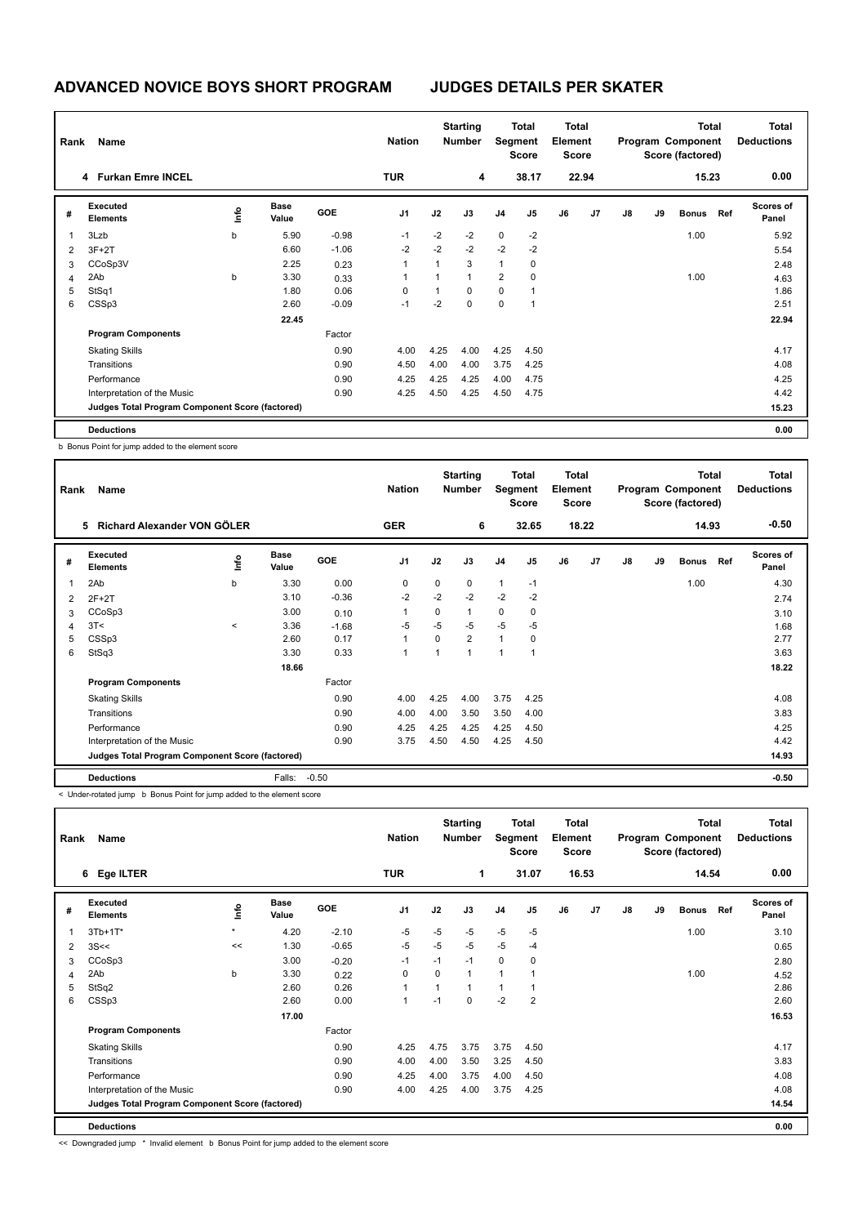# **ADVANCED NOVICE BOYS SHORT PROGRAM JUDGES DETAILS PER SKATER**

| Rank | Name                                            |    |                      |            | <b>Nation</b>  | <b>Starting</b><br>Number |                |                | <b>Total</b><br>Segment<br><b>Score</b> |    | <b>Total</b><br>Element<br><b>Score</b> |    | <b>Total</b><br>Program Component<br>Score (factored) |              |     | <b>Total</b><br><b>Deductions</b> |
|------|-------------------------------------------------|----|----------------------|------------|----------------|---------------------------|----------------|----------------|-----------------------------------------|----|-----------------------------------------|----|-------------------------------------------------------|--------------|-----|-----------------------------------|
|      | 4 Furkan Emre INCEL                             |    |                      |            | <b>TUR</b>     |                           | 4              |                | 38.17                                   |    | 22.94                                   |    |                                                       | 15.23        |     | 0.00                              |
| #    | Executed<br><b>Elements</b>                     | ١m | <b>Base</b><br>Value | <b>GOE</b> | J <sub>1</sub> | J2                        | J3             | J <sub>4</sub> | J5                                      | J6 | J7                                      | J8 | J9                                                    | <b>Bonus</b> | Ref | Scores of<br>Panel                |
| 1    | 3Lzb                                            | b  | 5.90                 | $-0.98$    | $-1$           | $-2$                      | $-2$           | $\mathbf 0$    | $-2$                                    |    |                                         |    |                                                       | 1.00         |     | 5.92                              |
| 2    | $3F+2T$                                         |    | 6.60                 | $-1.06$    | $-2$           | $-2$                      | $-2$           | $-2$           | $-2$                                    |    |                                         |    |                                                       |              |     | 5.54                              |
| 3    | CCoSp3V                                         |    | 2.25                 | 0.23       | $\mathbf{1}$   | 1                         | 3              | $\mathbf{1}$   | 0                                       |    |                                         |    |                                                       |              |     | 2.48                              |
| 4    | 2Ab                                             | b  | 3.30                 | 0.33       |                | $\mathbf{1}$              | $\overline{1}$ | 2              | 0                                       |    |                                         |    |                                                       | 1.00         |     | 4.63                              |
| 5    | StSq1                                           |    | 1.80                 | 0.06       | 0              | 1                         | 0              | $\mathbf 0$    | 1                                       |    |                                         |    |                                                       |              |     | 1.86                              |
| 6    | CSSp3                                           |    | 2.60                 | $-0.09$    | $-1$           | $-2$                      | $\mathbf 0$    | $\mathbf 0$    | 1                                       |    |                                         |    |                                                       |              |     | 2.51                              |
|      |                                                 |    | 22.45                |            |                |                           |                |                |                                         |    |                                         |    |                                                       |              |     | 22.94                             |
|      | <b>Program Components</b>                       |    |                      | Factor     |                |                           |                |                |                                         |    |                                         |    |                                                       |              |     |                                   |
|      | <b>Skating Skills</b>                           |    |                      | 0.90       | 4.00           | 4.25                      | 4.00           | 4.25           | 4.50                                    |    |                                         |    |                                                       |              |     | 4.17                              |
|      | Transitions                                     |    |                      | 0.90       | 4.50           | 4.00                      | 4.00           | 3.75           | 4.25                                    |    |                                         |    |                                                       |              |     | 4.08                              |
|      | Performance                                     |    |                      | 0.90       | 4.25           | 4.25                      | 4.25           | 4.00           | 4.75                                    |    |                                         |    |                                                       |              |     | 4.25                              |
|      | Interpretation of the Music                     |    |                      | 0.90       | 4.25           | 4.50                      | 4.25           | 4.50           | 4.75                                    |    |                                         |    |                                                       |              |     | 4.42                              |
|      | Judges Total Program Component Score (factored) |    |                      |            |                |                           |                |                |                                         |    |                                         |    |                                                       |              |     | 15.23                             |
|      | <b>Deductions</b>                               |    |                      |            |                |                           |                |                |                                         |    |                                         |    |                                                       |              |     | 0.00                              |

b Bonus Point for jump added to the element score

| Rank | Name                                            |         |                      |         | <b>Starting</b><br>Total<br><b>Nation</b><br><b>Number</b><br>Segment<br><b>Score</b> |      |                |                |                | Total<br>Element<br><b>Score</b> |                |    | Program Component<br>Score (factored) | <b>Total</b> | Total<br><b>Deductions</b> |                           |
|------|-------------------------------------------------|---------|----------------------|---------|---------------------------------------------------------------------------------------|------|----------------|----------------|----------------|----------------------------------|----------------|----|---------------------------------------|--------------|----------------------------|---------------------------|
|      | Richard Alexander VON GÖLER<br>5.               |         |                      |         | <b>GER</b>                                                                            |      | 6              |                | 32.65          |                                  | 18.22          |    |                                       | 14.93        |                            | $-0.50$                   |
| #    | Executed<br><b>Elements</b>                     | ١nf٥    | <b>Base</b><br>Value | GOE     | J1                                                                                    | J2   | J3             | J <sub>4</sub> | J <sub>5</sub> | J6                               | J <sub>7</sub> | J8 | J9                                    | <b>Bonus</b> | Ref                        | <b>Scores of</b><br>Panel |
| 1    | 2Ab                                             | b       | 3.30                 | 0.00    | 0                                                                                     | 0    | $\mathbf 0$    | $\mathbf{1}$   | $-1$           |                                  |                |    |                                       | 1.00         |                            | 4.30                      |
| 2    | $2F+2T$                                         |         | 3.10                 | $-0.36$ | $-2$                                                                                  | $-2$ | $-2$           | $-2$           | $-2$           |                                  |                |    |                                       |              |                            | 2.74                      |
| 3    | CCoSp3                                          |         | 3.00                 | 0.10    | 1                                                                                     | 0    | $\mathbf{1}$   | 0              | 0              |                                  |                |    |                                       |              |                            | 3.10                      |
| 4    | 3T<                                             | $\prec$ | 3.36                 | $-1.68$ | $-5$                                                                                  | $-5$ | $-5$           | $-5$           | $-5$           |                                  |                |    |                                       |              |                            | 1.68                      |
| 5    | CSSp3                                           |         | 2.60                 | 0.17    | 1                                                                                     | 0    | $\overline{2}$ | $\mathbf{1}$   | 0              |                                  |                |    |                                       |              |                            | 2.77                      |
| 6    | StSq3                                           |         | 3.30                 | 0.33    | 1                                                                                     | 1    | $\overline{1}$ | 1              | $\overline{1}$ |                                  |                |    |                                       |              |                            | 3.63                      |
|      |                                                 |         | 18.66                |         |                                                                                       |      |                |                |                |                                  |                |    |                                       |              |                            | 18.22                     |
|      | <b>Program Components</b>                       |         |                      | Factor  |                                                                                       |      |                |                |                |                                  |                |    |                                       |              |                            |                           |
|      | <b>Skating Skills</b>                           |         |                      | 0.90    | 4.00                                                                                  | 4.25 | 4.00           | 3.75           | 4.25           |                                  |                |    |                                       |              |                            | 4.08                      |
|      | Transitions                                     |         |                      | 0.90    | 4.00                                                                                  | 4.00 | 3.50           | 3.50           | 4.00           |                                  |                |    |                                       |              |                            | 3.83                      |
|      | Performance                                     |         |                      | 0.90    | 4.25                                                                                  | 4.25 | 4.25           | 4.25           | 4.50           |                                  |                |    |                                       |              |                            | 4.25                      |
|      | Interpretation of the Music                     |         |                      | 0.90    | 3.75                                                                                  | 4.50 | 4.50           | 4.25           | 4.50           |                                  |                |    |                                       |              |                            | 4.42                      |
|      | Judges Total Program Component Score (factored) |         |                      |         |                                                                                       |      |                |                |                |                                  |                |    |                                       |              |                            | 14.93                     |
|      | <b>Deductions</b>                               |         | Falls:               | $-0.50$ |                                                                                       |      |                |                |                |                                  |                |    |                                       |              |                            | $-0.50$                   |

< Under-rotated jump b Bonus Point for jump added to the element score

|   | Name<br>Rank                                    |         |                      |            | <b>Nation</b>  |      | <b>Starting</b><br>Total<br><b>Number</b><br>Segment<br><b>Score</b> |                |                |    | <b>Total</b><br>Element<br><b>Score</b> |               | <b>Total</b><br>Program Component<br>Score (factored) |              |     | <b>Total</b><br><b>Deductions</b> |
|---|-------------------------------------------------|---------|----------------------|------------|----------------|------|----------------------------------------------------------------------|----------------|----------------|----|-----------------------------------------|---------------|-------------------------------------------------------|--------------|-----|-----------------------------------|
|   | 6 Ege ILTER                                     |         |                      |            | <b>TUR</b>     |      | 1                                                                    |                | 31.07          |    | 16.53                                   |               |                                                       | 14.54        |     | 0.00                              |
| # | <b>Executed</b><br><b>Elements</b>              | ۴       | <b>Base</b><br>Value | <b>GOE</b> | J <sub>1</sub> | J2   | J3                                                                   | J <sub>4</sub> | J <sub>5</sub> | J6 | J7                                      | $\mathsf{J}8$ | J9                                                    | <b>Bonus</b> | Ref | <b>Scores of</b><br>Panel         |
| 1 | $3Tb+1T^*$                                      | $\star$ | 4.20                 | $-2.10$    | -5             | $-5$ | $-5$                                                                 | $-5$           | $-5$           |    |                                         |               |                                                       | 1.00         |     | 3.10                              |
| 2 | 3S<<                                            | <<      | 1.30                 | $-0.65$    | $-5$           | $-5$ | $-5$                                                                 | $-5$           | -4             |    |                                         |               |                                                       |              |     | 0.65                              |
| 3 | CCoSp3                                          |         | 3.00                 | $-0.20$    | $-1$           | $-1$ | $-1$                                                                 | $\mathbf 0$    | 0              |    |                                         |               |                                                       |              |     | 2.80                              |
| 4 | 2Ab                                             | b       | 3.30                 | 0.22       | 0              | 0    | 1                                                                    | 1              |                |    |                                         |               |                                                       | 1.00         |     | 4.52                              |
| 5 | StSq2                                           |         | 2.60                 | 0.26       | $\mathbf{1}$   |      | 1                                                                    | $\overline{1}$ |                |    |                                         |               |                                                       |              |     | 2.86                              |
| 6 | CSSp3                                           |         | 2.60                 | 0.00       | $\mathbf{1}$   | $-1$ | 0                                                                    | $-2$           | 2              |    |                                         |               |                                                       |              |     | 2.60                              |
|   |                                                 |         | 17.00                |            |                |      |                                                                      |                |                |    |                                         |               |                                                       |              |     | 16.53                             |
|   | <b>Program Components</b>                       |         |                      | Factor     |                |      |                                                                      |                |                |    |                                         |               |                                                       |              |     |                                   |
|   | <b>Skating Skills</b>                           |         |                      | 0.90       | 4.25           | 4.75 | 3.75                                                                 | 3.75           | 4.50           |    |                                         |               |                                                       |              |     | 4.17                              |
|   | Transitions                                     |         |                      | 0.90       | 4.00           | 4.00 | 3.50                                                                 | 3.25           | 4.50           |    |                                         |               |                                                       |              |     | 3.83                              |
|   | Performance                                     |         |                      | 0.90       | 4.25           | 4.00 | 3.75                                                                 | 4.00           | 4.50           |    |                                         |               |                                                       |              |     | 4.08                              |
|   | Interpretation of the Music                     |         |                      | 0.90       | 4.00           | 4.25 | 4.00                                                                 | 3.75           | 4.25           |    |                                         |               |                                                       |              |     | 4.08                              |
|   | Judges Total Program Component Score (factored) |         |                      |            |                |      |                                                                      |                |                |    |                                         |               |                                                       |              |     | 14.54                             |
|   | <b>Deductions</b>                               |         |                      |            |                |      |                                                                      |                |                |    |                                         |               |                                                       |              |     | 0.00                              |

<< Downgraded jump \* Invalid element b Bonus Point for jump added to the element score